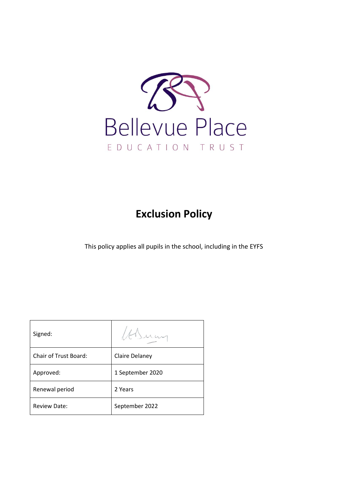

# **Exclusion Policy**

This policy applies all pupils in the school, including in the EYFS

| Signed:                      |                  |
|------------------------------|------------------|
| <b>Chair of Trust Board:</b> | Claire Delaney   |
| Approved:                    | 1 September 2020 |
| Renewal period               | 2 Years          |
| <b>Review Date:</b>          | September 2022   |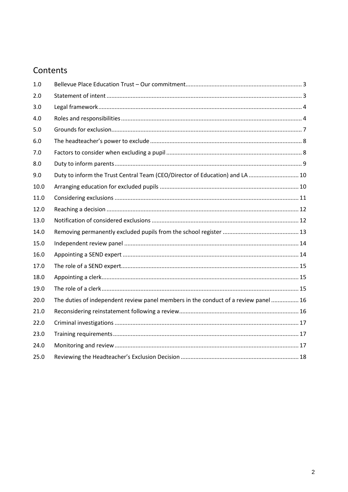## Contents

| 1.0  |                                                                                     |  |
|------|-------------------------------------------------------------------------------------|--|
| 2.0  |                                                                                     |  |
| 3.0  |                                                                                     |  |
| 4.0  |                                                                                     |  |
| 5.0  |                                                                                     |  |
| 6.0  |                                                                                     |  |
| 7.0  |                                                                                     |  |
| 8.0  |                                                                                     |  |
| 9.0  | Duty to inform the Trust Central Team (CEO/Director of Education) and LA  10        |  |
| 10.0 |                                                                                     |  |
| 11.0 |                                                                                     |  |
| 12.0 |                                                                                     |  |
| 13.0 |                                                                                     |  |
| 14.0 |                                                                                     |  |
| 15.0 |                                                                                     |  |
| 16.0 |                                                                                     |  |
| 17.0 |                                                                                     |  |
| 18.0 |                                                                                     |  |
| 19.0 |                                                                                     |  |
| 20.0 | The duties of independent review panel members in the conduct of a review panel  16 |  |
| 21.0 |                                                                                     |  |
| 22.0 |                                                                                     |  |
| 23.0 |                                                                                     |  |
| 24.0 |                                                                                     |  |
| 25.0 |                                                                                     |  |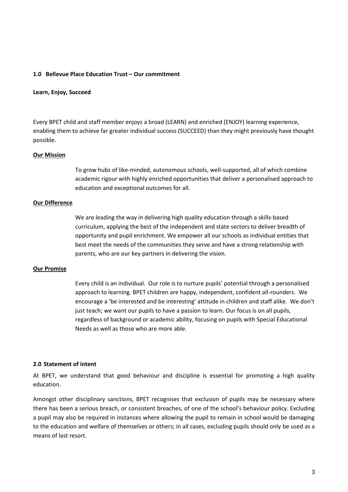#### <span id="page-2-0"></span>**1.0 Bellevue Place Education Trust – Our commitment**

#### **Learn, Enjoy, Succeed**

Every BPET child and staff member enjoys a broad (LEARN) and enriched (ENJOY) learning experience, enabling them to achieve far greater individual success (SUCCEED) than they might previously have thought possible.

#### **Our Mission**

To grow hubs of like-minded, autonomous schools, well-supported, all of which combine academic rigour with highly enriched opportunities that deliver a personalised approach to education and exceptional outcomes for all.

#### **Our Difference**

We are leading the way in delivering high quality education through a skills-based curriculum, applying the best of the independent and state sectors to deliver breadth of opportunity and pupil enrichment. We empower all our schools as individual entities that best meet the needs of the communities they serve and have a strong relationship with parents, who are our key partners in delivering the vision.

#### **Our Promise**

Every child is an individual. Our role is to nurture pupils' potential through a personalised approach to learning. BPET children are happy, independent, confident all-rounders. We encourage a 'be interested and be interesting' attitude in children and staff alike. We don't just teach; we want our pupils to have a passion to learn. Our focus is on all pupils, regardless of background or academic ability, focusing on pupils with Special Educational Needs as well as those who are more able.

#### <span id="page-2-1"></span>**2.0 Statement of intent**

At BPET, we understand that good behaviour and discipline is essential for promoting a high quality education.

Amongst other disciplinary sanctions, BPET recognises that exclusion of pupils may be necessary where there has been a serious breach, or consistent breaches, of one of the school's behaviour policy. Excluding a pupil may also be required in instances where allowing the pupil to remain in school would be damaging to the education and welfare of themselves or others; in all cases, excluding pupils should only be used as a means of last resort.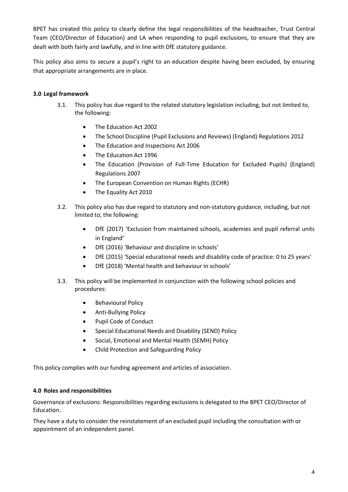BPET has created this policy to clearly define the legal responsibilities of the headteacher, Trust Central Team (CEO/Director of Education) and LA when responding to pupil exclusions, to ensure that they are dealt with both fairly and lawfully, and in line with DfE statutory guidance.

This policy also aims to secure a pupil's right to an education despite having been excluded, by ensuring that appropriate arrangements are in place.

## <span id="page-3-0"></span>**3.0 Legal framework**

- 3.1. This policy has due regard to the related statutory legislation including, but not limited to, the following:
	- The Education Act 2002
	- The School Discipline (Pupil Exclusions and Reviews) (England) Regulations 2012
	- The Education and Inspections Act 2006
	- The Education Act 1996
	- The Education (Provision of Full-Time Education for Excluded Pupils) (England) Regulations 2007
	- The European Convention on Human Rights (ECHR)
	- The Equality Act 2010
- 3.2. This policy also has due regard to statutory and non-statutory guidance, including, but not limited to, the following:
	- DfE (2017) 'Exclusion from maintained schools, academies and pupil referral units in England'
	- DfE (2016) 'Behaviour and discipline in schools'
	- DfE (2015) 'Special educational needs and disability code of practice: 0 to 25 years'
	- DfE (2018) 'Mental health and behaviour in schools'
- 3.3. This policy will be implemented in conjunction with the following school policies and procedures:
	- **•** Behavioural Policy
	- Anti-Bullying Policy
	- Pupil Code of Conduct
	- Special Educational Needs and Disability (SEND) Policy
	- Social, Emotional and Mental Health (SEMH) Policy
	- Child Protection and Safeguarding Policy

This policy complies with our funding agreement and articles of association.

#### <span id="page-3-1"></span>**4.0 Roles and responsibilities**

Governance of exclusions: Responsibilities regarding exclusions is delegated to the BPET CEO/Director of Education.

They have a duty to consider the reinstatement of an excluded pupil including the consultation with or appointment of an independent panel.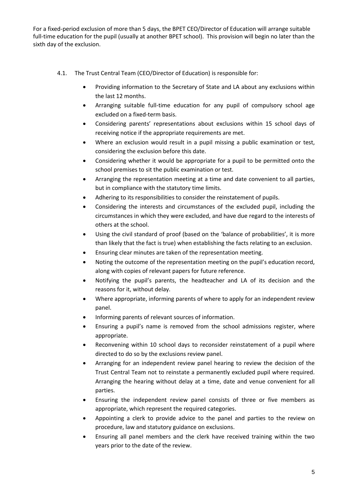For a fixed-period exclusion of more than 5 days, the BPET CEO/Director of Education will arrange suitable full-time education for the pupil (usually at another BPET school). This provision will begin no later than the sixth day of the exclusion.

- 4.1. The Trust Central Team (CEO/Director of Education) is responsible for:
	- Providing information to the Secretary of State and LA about any exclusions within the last 12 months.
	- Arranging suitable full-time education for any pupil of compulsory school age excluded on a fixed-term basis.
	- Considering parents' representations about exclusions within 15 school days of receiving notice if the appropriate requirements are met.
	- Where an exclusion would result in a pupil missing a public examination or test, considering the exclusion before this date.
	- Considering whether it would be appropriate for a pupil to be permitted onto the school premises to sit the public examination or test.
	- Arranging the representation meeting at a time and date convenient to all parties, but in compliance with the statutory time limits.
	- Adhering to its responsibilities to consider the reinstatement of pupils.
	- Considering the interests and circumstances of the excluded pupil, including the circumstances in which they were excluded, and have due regard to the interests of others at the school.
	- Using the civil standard of proof (based on the 'balance of probabilities', it is more than likely that the fact is true) when establishing the facts relating to an exclusion.
	- Ensuring clear minutes are taken of the representation meeting.
	- Noting the outcome of the representation meeting on the pupil's education record, along with copies of relevant papers for future reference.
	- Notifying the pupil's parents, the headteacher and LA of its decision and the reasons for it, without delay.
	- Where appropriate, informing parents of where to apply for an independent review panel.
	- Informing parents of relevant sources of information.
	- Ensuring a pupil's name is removed from the school admissions register, where appropriate.
	- Reconvening within 10 school days to reconsider reinstatement of a pupil where directed to do so by the exclusions review panel.
	- Arranging for an independent review panel hearing to review the decision of the Trust Central Team not to reinstate a permanently excluded pupil where required. Arranging the hearing without delay at a time, date and venue convenient for all parties.
	- Ensuring the independent review panel consists of three or five members as appropriate, which represent the required categories.
	- Appointing a clerk to provide advice to the panel and parties to the review on procedure, law and statutory guidance on exclusions.
	- Ensuring all panel members and the clerk have received training within the two years prior to the date of the review.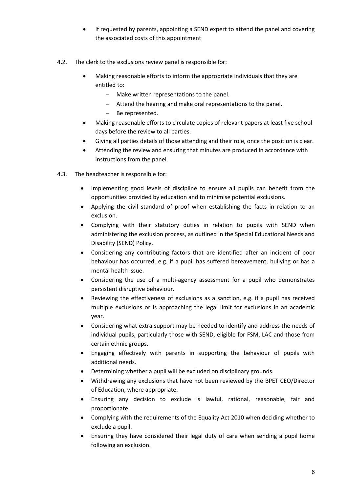- If requested by parents, appointing a SEND expert to attend the panel and covering the associated costs of this appointment
- 4.2. The clerk to the exclusions review panel is responsible for:
	- Making reasonable efforts to inform the appropriate individuals that they are entitled to:
		- Make written representations to the panel.
		- Attend the hearing and make oral representations to the panel.
		- Be represented.
	- Making reasonable efforts to circulate copies of relevant papers at least five school days before the review to all parties.
	- Giving all parties details of those attending and their role, once the position is clear.
	- Attending the review and ensuring that minutes are produced in accordance with instructions from the panel.
- 4.3. The headteacher is responsible for:
	- Implementing good levels of discipline to ensure all pupils can benefit from the opportunities provided by education and to minimise potential exclusions.
	- Applying the civil standard of proof when establishing the facts in relation to an exclusion.
	- Complying with their statutory duties in relation to pupils with SEND when administering the exclusion process, as outlined in the Special Educational Needs and Disability (SEND) Policy.
	- Considering any contributing factors that are identified after an incident of poor behaviour has occurred, e.g. if a pupil has suffered bereavement, bullying or has a mental health issue.
	- Considering the use of a multi-agency assessment for a pupil who demonstrates persistent disruptive behaviour.
	- Reviewing the effectiveness of exclusions as a sanction, e.g. if a pupil has received multiple exclusions or is approaching the legal limit for exclusions in an academic year.
	- Considering what extra support may be needed to identify and address the needs of individual pupils, particularly those with SEND, eligible for FSM, LAC and those from certain ethnic groups.
	- Engaging effectively with parents in supporting the behaviour of pupils with additional needs.
	- Determining whether a pupil will be excluded on disciplinary grounds.
	- Withdrawing any exclusions that have not been reviewed by the BPET CEO/Director of Education, where appropriate.
	- Ensuring any decision to exclude is lawful, rational, reasonable, fair and proportionate.
	- Complying with the requirements of the Equality Act 2010 when deciding whether to exclude a pupil.
	- Ensuring they have considered their legal duty of care when sending a pupil home following an exclusion.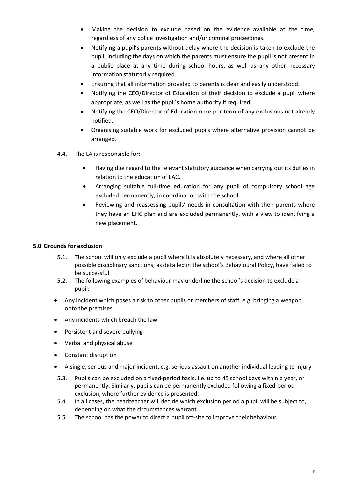- Making the decision to exclude based on the evidence available at the time, regardless of any police investigation and/or criminal proceedings.
- Notifying a pupil's parents without delay where the decision is taken to exclude the pupil, including the days on which the parents must ensure the pupil is not present in a public place at any time during school hours, as well as any other necessary information statutorily required.
- Ensuring that all information provided to parents is clear and easily understood.
- Notifying the CEO/Director of Education of their decision to exclude a pupil where appropriate, as well as the pupil's home authority if required.
- Notifying the CEO/Director of Education once per term of any exclusions not already notified.
- Organising suitable work for excluded pupils where alternative provision cannot be arranged.
- 4.4. The LA is responsible for:
	- Having due regard to the relevant statutory guidance when carrying out its duties in relation to the education of LAC.
	- Arranging suitable full-time education for any pupil of compulsory school age excluded permanently, in coordination with the school.
	- Reviewing and reassessing pupils' needs in consultation with their parents where they have an EHC plan and are excluded permanently, with a view to identifying a new placement.

#### <span id="page-6-0"></span>**5.0 Grounds for exclusion**

- 5.1. The school will only exclude a pupil where it is absolutely necessary, and where all other possible disciplinary sanctions, as detailed in the school's Behavioural Policy, have failed to be successful.
- 5.2. The following examples of behaviour may underline the school's decision to exclude a pupil:
- Any incident which poses a risk to other pupils or members of staff, e.g. bringing a weapon onto the premises
- Any incidents which breach the law
- Persistent and severe bullying
- Verbal and physical abuse
- Constant disruption
- A single, serious and major incident, e.g. serious assault on another individual leading to injury
- 5.3. Pupils can be excluded on a fixed-period basis, i.e. up to 45 school days within a year, or permanently. Similarly, pupils can be permanently excluded following a fixed-period exclusion, where further evidence is presented.
- 5.4. In all cases, the headteacher will decide which exclusion period a pupil will be subject to, depending on what the circumstances warrant.
- 5.5. The school has the power to direct a pupil off-site to improve their behaviour.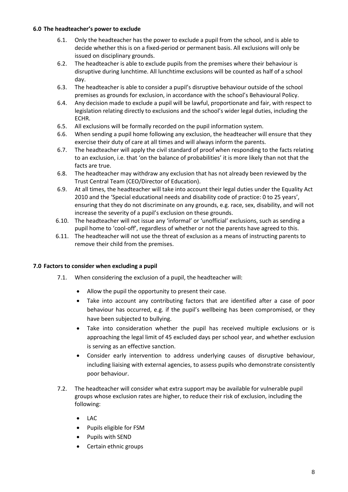#### <span id="page-7-0"></span>**6.0 The headteacher's power to exclude**

- 6.1. Only the headteacher has the power to exclude a pupil from the school, and is able to decide whether this is on a fixed-period or permanent basis. All exclusions will only be issued on disciplinary grounds.
- 6.2. The headteacher is able to exclude pupils from the premises where their behaviour is disruptive during lunchtime. All lunchtime exclusions will be counted as half of a school day.
- 6.3. The headteacher is able to consider a pupil's disruptive behaviour outside of the school premises as grounds for exclusion, in accordance with the school's Behavioural Policy.
- 6.4. Any decision made to exclude a pupil will be lawful, proportionate and fair, with respect to legislation relating directly to exclusions and the school's wider legal duties, including the ECHR.
- 6.5. All exclusions will be formally recorded on the pupil information system.
- 6.6. When sending a pupil home following any exclusion, the headteacher will ensure that they exercise their duty of care at all times and will always inform the parents.
- 6.7. The headteacher will apply the civil standard of proof when responding to the facts relating to an exclusion, i.e. that 'on the balance of probabilities' it is more likely than not that the facts are true.
- 6.8. The headteacher may withdraw any exclusion that has not already been reviewed by the Trust Central Team (CEO/Director of Education).
- 6.9. At all times, the headteacher will take into account their legal duties under the Equality Act 2010 and the 'Special educational needs and disability code of practice: 0 to 25 years', ensuring that they do not discriminate on any grounds, e.g. race, sex, disability, and will not increase the severity of a pupil's exclusion on these grounds.
- 6.10. The headteacher will not issue any 'informal' or 'unofficial' exclusions, such as sending a pupil home to 'cool-off', regardless of whether or not the parents have agreed to this.
- 6.11. The headteacher will not use the threat of exclusion as a means of instructing parents to remove their child from the premises.

#### <span id="page-7-1"></span>**7.0 Factors to consider when excluding a pupil**

- 7.1. When considering the exclusion of a pupil, the headteacher will:
	- Allow the pupil the opportunity to present their case.
	- Take into account any contributing factors that are identified after a case of poor behaviour has occurred, e.g. if the pupil's wellbeing has been compromised, or they have been subjected to bullying.
	- Take into consideration whether the pupil has received multiple exclusions or is approaching the legal limit of 45 excluded days per school year, and whether exclusion is serving as an effective sanction.
	- Consider early intervention to address underlying causes of disruptive behaviour, including liaising with external agencies, to assess pupils who demonstrate consistently poor behaviour.
- 7.2. The headteacher will consider what extra support may be available for vulnerable pupil groups whose exclusion rates are higher, to reduce their risk of exclusion, including the following:
	- LAC
	- Pupils eligible for FSM
	- Pupils with SEND
	- Certain ethnic groups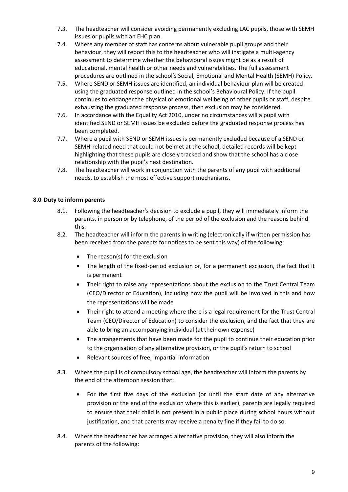- 7.3. The headteacher will consider avoiding permanently excluding LAC pupils, those with SEMH issues or pupils with an EHC plan.
- 7.4. Where any member of staff has concerns about vulnerable pupil groups and their behaviour, they will report this to the headteacher who will instigate a multi-agency assessment to determine whether the behavioural issues might be as a result of educational, mental health or other needs and vulnerabilities. The full assessment procedures are outlined in the school's Social, Emotional and Mental Health (SEMH) Policy.
- 7.5. Where SEND or SEMH issues are identified, an individual behaviour plan will be created using the graduated response outlined in the school's Behavioural Policy. If the pupil continues to endanger the physical or emotional wellbeing of other pupils or staff, despite exhausting the graduated response process, then exclusion may be considered.
- 7.6. In accordance with the Equality Act 2010, under no circumstances will a pupil with identified SEND or SEMH issues be excluded before the graduated response process has been completed.
- 7.7. Where a pupil with SEND or SEMH issues is permanently excluded because of a SEND or SEMH-related need that could not be met at the school, detailed records will be kept highlighting that these pupils are closely tracked and show that the school has a close relationship with the pupil's next destination.
- 7.8. The headteacher will work in conjunction with the parents of any pupil with additional needs, to establish the most effective support mechanisms.

## <span id="page-8-0"></span>**8.0 Duty to inform parents**

- 8.1. Following the headteacher's decision to exclude a pupil, they will immediately inform the parents, in person or by telephone, of the period of the exclusion and the reasons behind this.
- 8.2. The headteacher will inform the parents in writing (electronically if written permission has been received from the parents for notices to be sent this way) of the following:
	- The reason(s) for the exclusion
	- The length of the fixed-period exclusion or, for a permanent exclusion, the fact that it is permanent
	- Their right to raise any representations about the exclusion to the Trust Central Team (CEO/Director of Education), including how the pupil will be involved in this and how the representations will be made
	- Their right to attend a meeting where there is a legal requirement for the Trust Central Team (CEO/Director of Education) to consider the exclusion, and the fact that they are able to bring an accompanying individual (at their own expense)
	- The arrangements that have been made for the pupil to continue their education prior to the organisation of any alternative provision, or the pupil's return to school
	- Relevant sources of free, impartial information
- 8.3. Where the pupil is of compulsory school age, the headteacher will inform the parents by the end of the afternoon session that:
	- For the first five days of the exclusion (or until the start date of any alternative provision or the end of the exclusion where this is earlier), parents are legally required to ensure that their child is not present in a public place during school hours without justification, and that parents may receive a penalty fine if they fail to do so.
- 8.4. Where the headteacher has arranged alternative provision, they will also inform the parents of the following: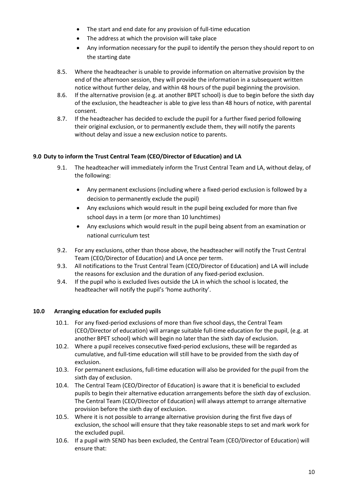- The start and end date for any provision of full-time education
- The address at which the provision will take place
- Any information necessary for the pupil to identify the person they should report to on the starting date
- 8.5. Where the headteacher is unable to provide information on alternative provision by the end of the afternoon session, they will provide the information in a subsequent written notice without further delay, and within 48 hours of the pupil beginning the provision.
- 8.6. If the alternative provision (e.g. at another BPET school) is due to begin before the sixth day of the exclusion, the headteacher is able to give less than 48 hours of notice, with parental consent.
- 8.7. If the headteacher has decided to exclude the pupil for a further fixed period following their original exclusion, or to permanently exclude them, they will notify the parents without delay and issue a new exclusion notice to parents.

## <span id="page-9-0"></span>**9.0 Duty to inform the Trust Central Team (CEO/Director of Education) and LA**

- 9.1. The headteacher will immediately inform the Trust Central Team and LA, without delay, of the following:
	- Any permanent exclusions (including where a fixed-period exclusion is followed by a decision to permanently exclude the pupil)
	- Any exclusions which would result in the pupil being excluded for more than five school days in a term (or more than 10 lunchtimes)
	- Any exclusions which would result in the pupil being absent from an examination or national curriculum test
- 9.2. For any exclusions, other than those above, the headteacher will notify the Trust Central Team (CEO/Director of Education) and LA once per term.
- 9.3. All notifications to the Trust Central Team (CEO/Director of Education) and LA will include the reasons for exclusion and the duration of any fixed-period exclusion.
- 9.4. If the pupil who is excluded lives outside the LA in which the school is located, the headteacher will notify the pupil's 'home authority'.

#### <span id="page-9-1"></span>**10.0 Arranging education for excluded pupils**

- 10.1. For any fixed-period exclusions of more than five school days, the Central Team (CEO/Director of education) will arrange suitable full-time education for the pupil, (e.g. at another BPET school) which will begin no later than the sixth day of exclusion.
- 10.2. Where a pupil receives consecutive fixed-period exclusions, these will be regarded as cumulative, and full-time education will still have to be provided from the sixth day of exclusion.
- 10.3. For permanent exclusions, full-time education will also be provided for the pupil from the sixth day of exclusion.
- 10.4. The Central Team (CEO/Director of Education) is aware that it is beneficial to excluded pupils to begin their alternative education arrangements before the sixth day of exclusion. The Central Team (CEO/Director of Education) will always attempt to arrange alternative provision before the sixth day of exclusion.
- 10.5. Where it is not possible to arrange alternative provision during the first five days of exclusion, the school will ensure that they take reasonable steps to set and mark work for the excluded pupil.
- 10.6. If a pupil with SEND has been excluded, the Central Team (CEO/Director of Education) will ensure that: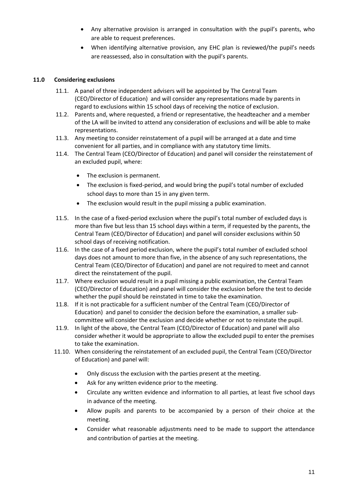- Any alternative provision is arranged in consultation with the pupil's parents, who are able to request preferences.
- When identifying alternative provision, any EHC plan is reviewed/the pupil's needs are reassessed, also in consultation with the pupil's parents.

## <span id="page-10-0"></span>**11.0 Considering exclusions**

- 11.1. A panel of three independent advisers will be appointed by The Central Team (CEO/Director of Education) and will consider any representations made by parents in regard to exclusions within 15 school days of receiving the notice of exclusion.
- 11.2. Parents and, where requested, a friend or representative, the headteacher and a member of the LA will be invited to attend any consideration of exclusions and will be able to make representations.
- 11.3. Any meeting to consider reinstatement of a pupil will be arranged at a date and time convenient for all parties, and in compliance with any statutory time limits.
- 11.4. The Central Team (CEO/Director of Education) and panel will consider the reinstatement of an excluded pupil, where:
	- The exclusion is permanent.
	- The exclusion is fixed-period, and would bring the pupil's total number of excluded school days to more than 15 in any given term.
	- The exclusion would result in the pupil missing a public examination.
- 11.5. In the case of a fixed-period exclusion where the pupil's total number of excluded days is more than five but less than 15 school days within a term, if requested by the parents, the Central Team (CEO/Director of Education) and panel will consider exclusions within 50 school days of receiving notification.
- 11.6. In the case of a fixed period exclusion, where the pupil's total number of excluded school days does not amount to more than five, in the absence of any such representations, the Central Team (CEO/Director of Education) and panel are not required to meet and cannot direct the reinstatement of the pupil.
- 11.7. Where exclusion would result in a pupil missing a public examination, the Central Team (CEO/Director of Education) and panel will consider the exclusion before the test to decide whether the pupil should be reinstated in time to take the examination.
- 11.8. If it is not practicable for a sufficient number of the Central Team (CEO/Director of Education) and panel to consider the decision before the examination, a smaller subcommittee will consider the exclusion and decide whether or not to reinstate the pupil.
- 11.9. In light of the above, the Central Team (CEO/Director of Education) and panel will also consider whether it would be appropriate to allow the excluded pupil to enter the premises to take the examination.
- 11.10. When considering the reinstatement of an excluded pupil, the Central Team (CEO/Director of Education) and panel will:
	- Only discuss the exclusion with the parties present at the meeting.
	- Ask for any written evidence prior to the meeting.
	- Circulate any written evidence and information to all parties, at least five school days in advance of the meeting.
	- Allow pupils and parents to be accompanied by a person of their choice at the meeting.
	- Consider what reasonable adjustments need to be made to support the attendance and contribution of parties at the meeting.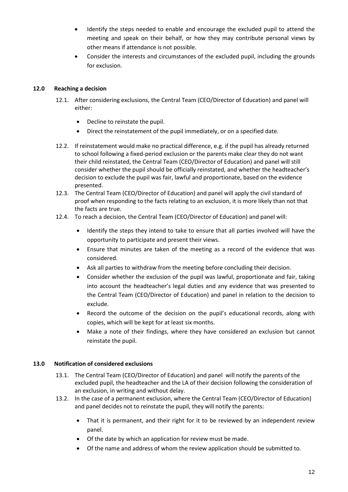- Identify the steps needed to enable and encourage the excluded pupil to attend the meeting and speak on their behalf, or how they may contribute personal views by other means if attendance is not possible.
- Consider the interests and circumstances of the excluded pupil, including the grounds for exclusion.

## <span id="page-11-0"></span>**12.0 Reaching a decision**

- 12.1. After considering exclusions, the Central Team (CEO/Director of Education) and panel will either:
	- Decline to reinstate the pupil.
	- Direct the reinstatement of the pupil immediately, or on a specified date.
- 12.2. If reinstatement would make no practical difference, e.g. if the pupil has already returned to school following a fixed-period exclusion or the parents make clear they do not want their child reinstated, the Central Team (CEO/Director of Education) and panel will still consider whether the pupil should be officially reinstated, and whether the headteacher's decision to exclude the pupil was fair, lawful and proportionate, based on the evidence presented.
- 12.3. The Central Team (CEO/Director of Education) and panel will apply the civil standard of proof when responding to the facts relating to an exclusion, it is more likely than not that the facts are true.
- 12.4. To reach a decision, the Central Team (CEO/Director of Education) and panel will:
	- Identify the steps they intend to take to ensure that all parties involved will have the opportunity to participate and present their views.
	- Ensure that minutes are taken of the meeting as a record of the evidence that was considered.
	- Ask all parties to withdraw from the meeting before concluding their decision.
	- Consider whether the exclusion of the pupil was lawful, proportionate and fair, taking into account the headteacher's legal duties and any evidence that was presented to the Central Team (CEO/Director of Education) and panel in relation to the decision to exclude.
	- Record the outcome of the decision on the pupil's educational records, along with copies, which will be kept for at least six months.
	- Make a note of their findings, where they have considered an exclusion but cannot reinstate the pupil.

#### <span id="page-11-1"></span>**13.0 Notification of considered exclusions**

- 13.1. The Central Team (CEO/Director of Education) and panel will notify the parents of the excluded pupil, the headteacher and the LA of their decision following the consideration of an exclusion, in writing and without delay.
- 13.2. In the case of a permanent exclusion, where the Central Team (CEO/Director of Education) and panel decides not to reinstate the pupil, they will notify the parents:
	- That it is permanent, and their right for it to be reviewed by an independent review panel.
	- Of the date by which an application for review must be made.
	- Of the name and address of whom the review application should be submitted to.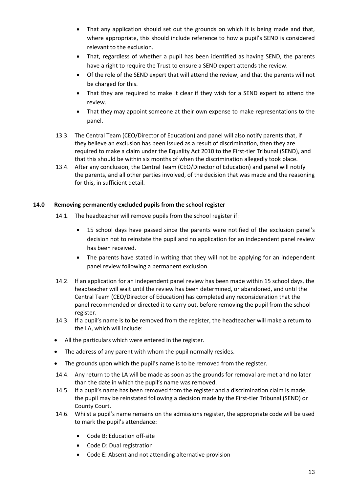- That any application should set out the grounds on which it is being made and that, where appropriate, this should include reference to how a pupil's SEND is considered relevant to the exclusion.
- That, regardless of whether a pupil has been identified as having SEND, the parents have a right to require the Trust to ensure a SEND expert attends the review.
- Of the role of the SEND expert that will attend the review, and that the parents will not be charged for this.
- That they are required to make it clear if they wish for a SEND expert to attend the review.
- That they may appoint someone at their own expense to make representations to the panel.
- 13.3. The Central Team (CEO/Director of Education) and panel will also notify parents that, if they believe an exclusion has been issued as a result of discrimination, then they are required to make a claim under the Equality Act 2010 to the First-tier Tribunal (SEND), and that this should be within six months of when the discrimination allegedly took place.
- 13.4. After any conclusion, the Central Team (CEO/Director of Education) and panel will notify the parents, and all other parties involved, of the decision that was made and the reasoning for this, in sufficient detail.

#### <span id="page-12-0"></span>**14.0 Removing permanently excluded pupils from the school register**

- 14.1. The headteacher will remove pupils from the school register if:
	- 15 school days have passed since the parents were notified of the exclusion panel's decision not to reinstate the pupil and no application for an independent panel review has been received.
	- The parents have stated in writing that they will not be applying for an independent panel review following a permanent exclusion.
- 14.2. If an application for an independent panel review has been made within 15 school days, the headteacher will wait until the review has been determined, or abandoned, and until the Central Team (CEO/Director of Education) has completed any reconsideration that the panel recommended or directed it to carry out, before removing the pupil from the school register.
- 14.3. If a pupil's name is to be removed from the register, the headteacher will make a return to the LA, which will include:
- All the particulars which were entered in the register.
- The address of any parent with whom the pupil normally resides.
- The grounds upon which the pupil's name is to be removed from the register.
- 14.4. Any return to the LA will be made as soon as the grounds for removal are met and no later than the date in which the pupil's name was removed.
- 14.5. If a pupil's name has been removed from the register and a discrimination claim is made, the pupil may be reinstated following a decision made by the First-tier Tribunal (SEND) or County Court.
- 14.6. Whilst a pupil's name remains on the admissions register, the appropriate code will be used to mark the pupil's attendance:
	- Code B: Education off-site
	- Code D: Dual registration
	- Code E: Absent and not attending alternative provision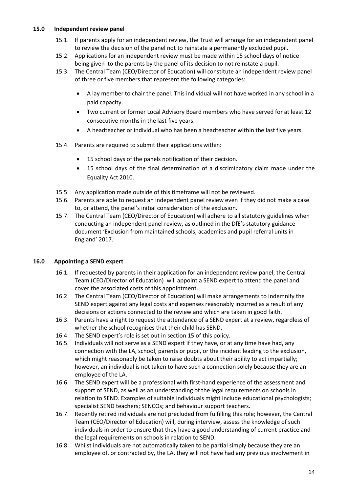#### <span id="page-13-0"></span>**15.0 Independent review panel**

- 15.1. If parents apply for an independent review, the Trust will arrange for an independent panel to review the decision of the panel not to reinstate a permanently excluded pupil.
- 15.2. Applications for an independent review must be made within 15 school days of notice being given to the parents by the panel of its decision to not reinstate a pupil.
- 15.3. The Central Team (CEO/Director of Education) will constitute an independent review panel of three or five members that represent the following categories:
	- A lay member to chair the panel. This individual will not have worked in any school in a paid capacity.
	- Two current or former Local Advisory Board members who have served for at least 12 consecutive months in the last five years.
	- A headteacher or individual who has been a headteacher within the last five years.
- 15.4. Parents are required to submit their applications within:
	- 15 school days of the panels notification of their decision.
	- 15 school days of the final determination of a discriminatory claim made under the Equality Act 2010.
- 15.5. Any application made outside of this timeframe will not be reviewed.
- 15.6. Parents are able to request an independent panel review even if they did not make a case to, or attend, the panel's initial consideration of the exclusion.
- 15.7. The Central Team (CEO/Director of Education) will adhere to all statutory guidelines when conducting an independent panel review, as outlined in the DfE's statutory guidance document 'Exclusion from maintained schools, academies and pupil referral units in England' 2017.

#### <span id="page-13-1"></span>**16.0 Appointing a SEND expert**

- 16.1. If requested by parents in their application for an independent review panel, the Central Team (CEO/Director of Education) will appoint a SEND expert to attend the panel and cover the associated costs of this appointment.
- 16.2. The Central Team (CEO/Director of Education) will make arrangements to indemnify the SEND expert against any legal costs and expenses reasonably incurred as a result of any decisions or actions connected to the review and which are taken in good faith.
- 16.3. Parents have a right to request the attendance of a SEND expert at a review, regardless of whether the school recognises that their child has SEND.
- 16.4. The SEND expert's role is set out in [section 15](#page-14-0) of this policy.
- 16.5. Individuals will not serve as a SEND expert if they have, or at any time have had, any connection with the LA, school, parents or pupil, or the incident leading to the exclusion, which might reasonably be taken to raise doubts about their ability to act impartially; however, an individual is not taken to have such a connection solely because they are an employee of the LA.
- 16.6. The SEND expert will be a professional with first-hand experience of the assessment and support of SEND, as well as an understanding of the legal requirements on schools in relation to SEND. Examples of suitable individuals might include educational psychologists; specialist SEND teachers; SENCOs; and behaviour support teachers.
- 16.7. Recently retired individuals are not precluded from fulfilling this role; however, the Central Team (CEO/Director of Education) will, during interview, assess the knowledge of such individuals in order to ensure that they have a good understanding of current practice and the legal requirements on schools in relation to SEND.
- 16.8. Whilst individuals are not automatically taken to be partial simply because they are an employee of, or contracted by, the LA, they will not have had any previous involvement in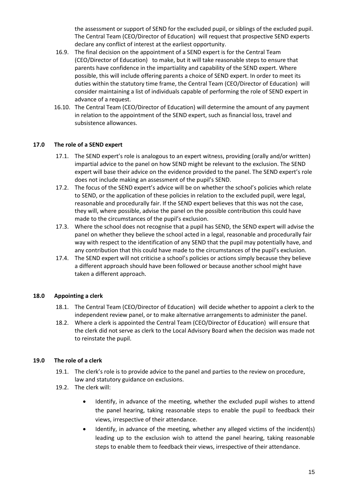the assessment or support of SEND for the excluded pupil, or siblings of the excluded pupil. The Central Team (CEO/Director of Education) will request that prospective SEND experts declare any conflict of interest at the earliest opportunity.

- 16.9. The final decision on the appointment of a SEND expert is for the Central Team (CEO/Director of Education) to make, but it will take reasonable steps to ensure that parents have confidence in the impartiality and capability of the SEND expert. Where possible, this will include offering parents a choice of SEND expert. In order to meet its duties within the statutory time frame, the Central Team (CEO/Director of Education) will consider maintaining a list of individuals capable of performing the role of SEND expert in advance of a request.
- 16.10. The Central Team (CEO/Director of Education) will determine the amount of any payment in relation to the appointment of the SEND expert, such as financial loss, travel and subsistence allowances.

#### <span id="page-14-0"></span>**17.0 The role of a SEND expert**

- 17.1. The SEND expert's role is analogous to an expert witness, providing (orally and/or written) impartial advice to the panel on how SEND might be relevant to the exclusion. The SEND expert will base their advice on the evidence provided to the panel. The SEND expert's role does not include making an assessment of the pupil's SEND.
- 17.2. The focus of the SEND expert's advice will be on whether the school's policies which relate to SEND, or the application of these policies in relation to the excluded pupil, were legal, reasonable and procedurally fair. If the SEND expert believes that this was not the case, they will, where possible, advise the panel on the possible contribution this could have made to the circumstances of the pupil's exclusion.
- 17.3. Where the school does not recognise that a pupil has SEND, the SEND expert will advise the panel on whether they believe the school acted in a legal, reasonable and procedurally fair way with respect to the identification of any SEND that the pupil may potentially have, and any contribution that this could have made to the circumstances of the pupil's exclusion.
- 17.4. The SEND expert will not criticise a school's policies or actions simply because they believe a different approach should have been followed or because another school might have taken a different approach.

#### <span id="page-14-1"></span>**18.0 Appointing a clerk**

- 18.1. The Central Team (CEO/Director of Education) will decide whether to appoint a clerk to the independent review panel, or to make alternative arrangements to administer the panel.
- 18.2. Where a clerk is appointed the Central Team (CEO/Director of Education) will ensure that the clerk did not serve as clerk to the Local Advisory Board when the decision was made not to reinstate the pupil.

#### <span id="page-14-2"></span>**19.0 The role of a clerk**

- 19.1. The clerk's role is to provide advice to the panel and parties to the review on procedure, law and statutory guidance on exclusions.
- 19.2. The clerk will:
	- Identify, in advance of the meeting, whether the excluded pupil wishes to attend the panel hearing, taking reasonable steps to enable the pupil to feedback their views, irrespective of their attendance.
	- Identify, in advance of the meeting, whether any alleged victims of the incident(s) leading up to the exclusion wish to attend the panel hearing, taking reasonable steps to enable them to feedback their views, irrespective of their attendance.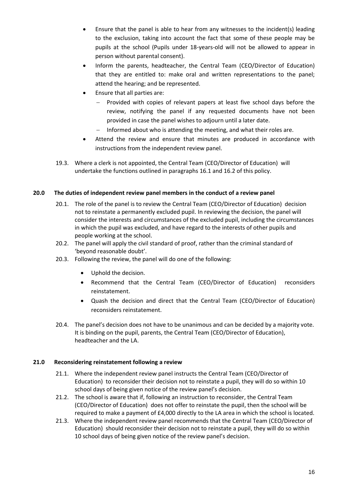- Ensure that the panel is able to hear from any witnesses to the incident(s) leading to the exclusion, taking into account the fact that some of these people may be pupils at the school (Pupils under 18-years-old will not be allowed to appear in person without parental consent).
- Inform the parents, headteacher, the Central Team (CEO/Director of Education) that they are entitled to: make oral and written representations to the panel; attend the hearing; and be represented.
- Ensure that all parties are:
	- Provided with copies of relevant papers at least five school days before the review, notifying the panel if any requested documents have not been provided in case the panel wishes to adjourn until a later date.
	- Informed about who is attending the meeting, and what their roles are.
- Attend the review and ensure that minutes are produced in accordance with instructions from the independent review panel.
- 19.3. Where a clerk is not appointed, the Central Team (CEO/Director of Education) will undertake the functions outlined in paragraphs 16.1 and 16.2 of this policy.

## <span id="page-15-0"></span>**20.0 The duties of independent review panel members in the conduct of a review panel**

- 20.1. The role of the panel is to review the Central Team (CEO/Director of Education) decision not to reinstate a permanently excluded pupil. In reviewing the decision, the panel will consider the interests and circumstances of the excluded pupil, including the circumstances in which the pupil was excluded, and have regard to the interests of other pupils and people working at the school.
- 20.2. The panel will apply the civil standard of proof, rather than the criminal standard of 'beyond reasonable doubt'.
- 20.3. Following the review, the panel will do one of the following:
	- Uphold the decision.
	- Recommend that the Central Team (CEO/Director of Education) reconsiders reinstatement.
	- Quash the decision and direct that the Central Team (CEO/Director of Education) reconsiders reinstatement.
- 20.4. The panel's decision does not have to be unanimous and can be decided by a majority vote. It is binding on the pupil, parents, the Central Team (CEO/Director of Education), headteacher and the LA.

#### <span id="page-15-1"></span>**21.0 Reconsidering reinstatement following a review**

- 21.1. Where the independent review panel instructs the Central Team (CEO/Director of Education) to reconsider their decision not to reinstate a pupil, they will do so within 10 school days of being given notice of the review panel's decision.
- 21.2. The school is aware that if, following an instruction to reconsider, the Central Team (CEO/Director of Education) does not offer to reinstate the pupil, then the school will be required to make a payment of £4,000 directly to the LA area in which the school is located.
- 21.3. Where the independent review panel recommends that the Central Team (CEO/Director of Education) should reconsider their decision not to reinstate a pupil, they will do so within 10 school days of being given notice of the review panel's decision.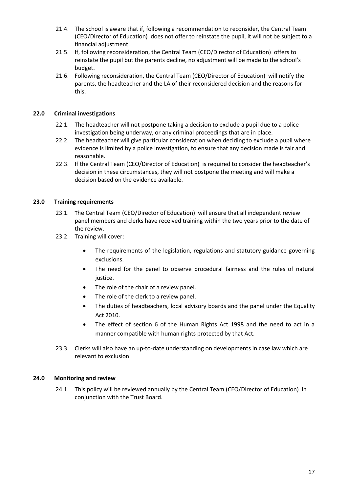- 21.4. The school is aware that if, following a recommendation to reconsider, the Central Team (CEO/Director of Education) does not offer to reinstate the pupil, it will not be subject to a financial adjustment.
- 21.5. If, following reconsideration, the Central Team (CEO/Director of Education) offers to reinstate the pupil but the parents decline, no adjustment will be made to the school's budget.
- 21.6. Following reconsideration, the Central Team (CEO/Director of Education) will notify the parents, the headteacher and the LA of their reconsidered decision and the reasons for this.

#### <span id="page-16-0"></span>**22.0 Criminal investigations**

- 22.1. The headteacher will not postpone taking a decision to exclude a pupil due to a police investigation being underway, or any criminal proceedings that are in place.
- 22.2. The headteacher will give particular consideration when deciding to exclude a pupil where evidence is limited by a police investigation, to ensure that any decision made is fair and reasonable.
- 22.3. If the Central Team (CEO/Director of Education) is required to consider the headteacher's decision in these circumstances, they will not postpone the meeting and will make a decision based on the evidence available.

## <span id="page-16-1"></span>**23.0 Training requirements**

- 23.1. The Central Team (CEO/Director of Education) will ensure that all independent review panel members and clerks have received training within the two years prior to the date of the review.
- 23.2. Training will cover:
	- The requirements of the legislation, regulations and statutory guidance governing exclusions.
	- The need for the panel to observe procedural fairness and the rules of natural justice.
	- The role of the chair of a review panel.
	- The role of the clerk to a review panel.
	- The duties of headteachers, local advisory boards and the panel under the Equality Act 2010.
	- The effect of section 6 of the Human Rights Act 1998 and the need to act in a manner compatible with human rights protected by that Act.
- 23.3. Clerks will also have an up-to-date understanding on developments in case law which are relevant to exclusion.

#### <span id="page-16-2"></span>**24.0 Monitoring and review**

24.1. This policy will be reviewed annually by the Central Team (CEO/Director of Education) in conjunction with the Trust Board.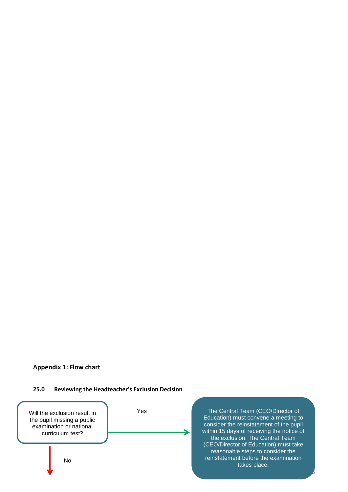#### **Appendix 1: Flow chart**

#### <span id="page-17-0"></span>**25.0 Reviewing the Headteacher's Exclusion Decision**



The Central Team (CEO/Director of Education) must convene a meeting to consider the reinstatement of the pupil within 15 days of receiving the notice of the exclusion. The Central Team (CEO/Director of Education) must take reasonable steps to consider the reinstatement before the examination takes place.

لى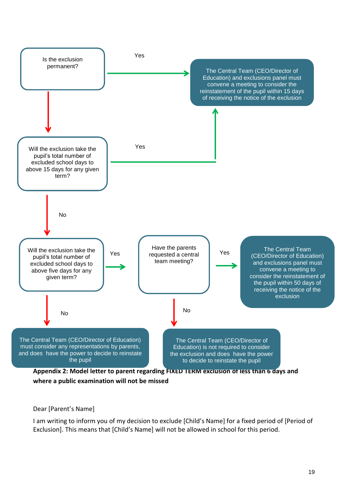

## **where a public examination will not be missed**

## Dear [Parent's Name]

I am writing to inform you of my decision to exclude [Child's Name] for a fixed period of [Period of Exclusion]. This means that [Child's Name] will not be allowed in school for this period.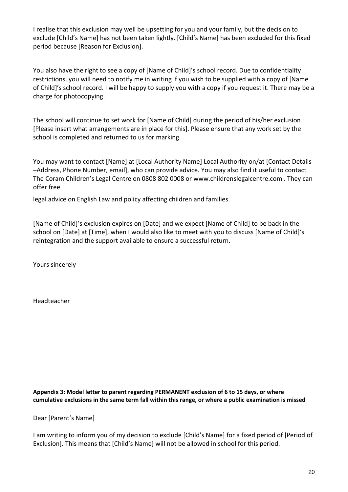I realise that this exclusion may well be upsetting for you and your family, but the decision to exclude [Child's Name] has not been taken lightly. [Child's Name] has been excluded for this fixed period because [Reason for Exclusion].

You also have the right to see a copy of [Name of Child]'s school record. Due to confidentiality restrictions, you will need to notify me in writing if you wish to be supplied with a copy of [Name of Child]'s school record. I will be happy to supply you with a copy if you request it. There may be a charge for photocopying.

The school will continue to set work for [Name of Child] during the period of his/her exclusion [Please insert what arrangements are in place for this]. Please ensure that any work set by the school is completed and returned to us for marking.

You may want to contact [Name] at [Local Authority Name] Local Authority on/at [Contact Details –Address, Phone Number, email], who can provide advice. You may also find it useful to contact The Coram Children's Legal Centre on 0808 802 0008 or www.childrenslegalcentre.com . They can offer free

legal advice on English Law and policy affecting children and families.

[Name of Child]'s exclusion expires on [Date] and we expect [Name of Child] to be back in the school on [Date] at [Time], when I would also like to meet with you to discuss [Name of Child]'s reintegration and the support available to ensure a successful return.

Yours sincerely

Headteacher

**Appendix 3: Model letter to parent regarding PERMANENT exclusion of 6 to 15 days, or where cumulative exclusions in the same term fall within this range, or where a public examination is missed**

Dear [Parent's Name]

I am writing to inform you of my decision to exclude [Child's Name] for a fixed period of [Period of Exclusion]. This means that [Child's Name] will not be allowed in school for this period.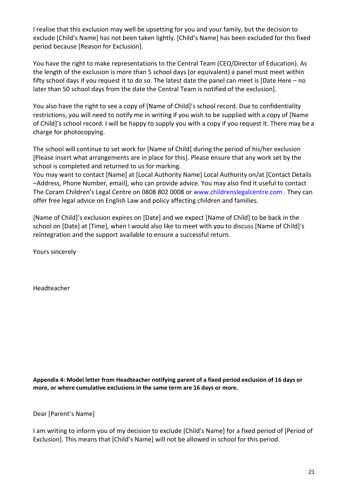I realise that this exclusion may well be upsetting for you and your family, but the decision to exclude [Child's Name] has not been taken lightly. [Child's Name] has been excluded for this fixed period because [Reason for Exclusion].

You have the right to make representations to the Central Team (CEO/Director of Education). As the length of the exclusion is more than 5 school days (or equivalent) a panel must meet within fifty school days if you request it to do so. The latest date the panel can meet is [Date Here – no later than 50 school days from the date the Central Team is notified of the exclusion].

You also have the right to see a copy of [Name of Child]'s school record. Due to confidentiality restrictions, you will need to notify me in writing if you wish to be supplied with a copy of [Name of Child]'s school record. I will be happy to supply you with a copy if you request it. There may be a charge for photocopying.

The school will continue to set work for [Name of Child] during the period of his/her exclusion [Please insert what arrangements are in place for this]. Please ensure that any work set by the school is completed and returned to us for marking.

You may want to contact [Name] at [Local Authority Name] Local Authority on/at [Contact Details –Address, Phone Number, email], who can provide advice. You may also find it useful to contact The Coram Children's Legal Centre on 0808 802 0008 or www.childrenslegalcentre.com . They can offer free legal advice on English Law and policy affecting children and families.

[Name of Child]'s exclusion expires on [Date] and we expect [Name of Child] to be back in the school on [Date] at [Time], when I would also like to meet with you to discuss [Name of Child]'s reintegration and the support available to ensure a successful return.

Yours sincerely

Headteacher

**Appendix 4: Model letter from Headteacher notifying parent of a fixed period exclusion of 16 days or more, or where cumulative exclusions in the same term are 16 days or more.**

Dear [Parent's Name]

I am writing to inform you of my decision to exclude [Child's Name] for a fixed period of [Period of Exclusion]. This means that [Child's Name] will not be allowed in school for this period.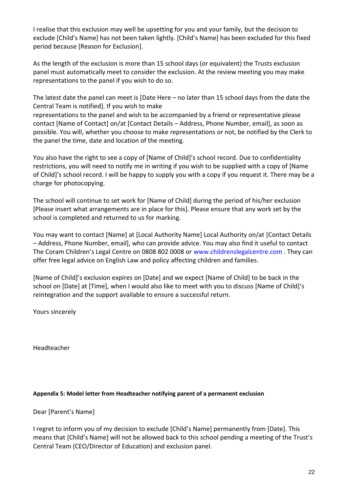I realise that this exclusion may well be upsetting for you and your family, but the decision to exclude [Child's Name] has not been taken lightly. [Child's Name] has been excluded for this fixed period because [Reason for Exclusion].

As the length of the exclusion is more than 15 school days (or equivalent) the Trusts exclusion panel must automatically meet to consider the exclusion. At the review meeting you may make representations to the panel if you wish to do so.

The latest date the panel can meet is [Date Here – no later than 15 school days from the date the Central Team is notified]. If you wish to make

representations to the panel and wish to be accompanied by a friend or representative please contact [Name of Contact] on/at [Contact Details – Address, Phone Number, email], as soon as possible. You will, whether you choose to make representations or not, be notified by the Clerk to the panel the time, date and location of the meeting.

You also have the right to see a copy of [Name of Child]'s school record. Due to confidentiality restrictions, you will need to notify me in writing if you wish to be supplied with a copy of [Name of Child]'s school record. I will be happy to supply you with a copy if you request it. There may be a charge for photocopying.

The school will continue to set work for [Name of Child] during the period of his/her exclusion [Please insert what arrangements are in place for this]. Please ensure that any work set by the school is completed and returned to us for marking.

You may want to contact [Name] at [Local Authority Name] Local Authority on/at [Contact Details – Address, Phone Number, email], who can provide advice. You may also find it useful to contact The Coram Children's Legal Centre on 0808 802 0008 or www.childrenslegalcentre.com . They can offer free legal advice on English Law and policy affecting children and families.

[Name of Child]'s exclusion expires on [Date] and we expect [Name of Child] to be back in the school on [Date] at [Time], when I would also like to meet with you to discuss [Name of Child]'s reintegration and the support available to ensure a successful return.

Yours sincerely

Headteacher

## **Appendix 5: Model letter from Headteacher notifying parent of a permanent exclusion**

Dear [Parent's Name]

I regret to inform you of my decision to exclude [Child's Name] permanently from [Date]. This means that [Child's Name] will not be allowed back to this school pending a meeting of the Trust's Central Team (CEO/Director of Education) and exclusion panel.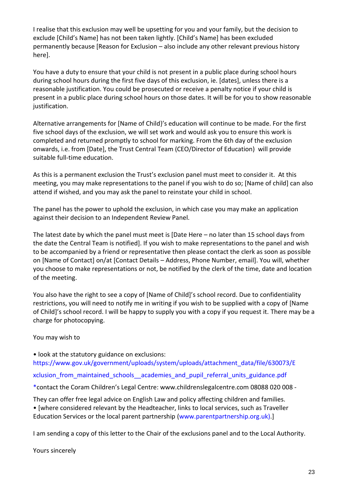I realise that this exclusion may well be upsetting for you and your family, but the decision to exclude [Child's Name] has not been taken lightly. [Child's Name] has been excluded permanently because [Reason for Exclusion – also include any other relevant previous history here].

You have a duty to ensure that your child is not present in a public place during school hours during school hours during the first five days of this exclusion, ie. [dates], unless there is a reasonable justification. You could be prosecuted or receive a penalty notice if your child is present in a public place during school hours on those dates. It will be for you to show reasonable justification.

Alternative arrangements for [Name of Child}'s education will continue to be made. For the first five school days of the exclusion, we will set work and would ask you to ensure this work is completed and returned promptly to school for marking. From the 6th day of the exclusion onwards, i.e. from [Date], the Trust Central Team (CEO/Director of Education) will provide suitable full-time education.

As this is a permanent exclusion the Trust's exclusion panel must meet to consider it. At this meeting, you may make representations to the panel if you wish to do so; [Name of child] can also attend if wished, and you may ask the panel to reinstate your child in school.

The panel has the power to uphold the exclusion, in which case you may make an application against their decision to an Independent Review Panel.

The latest date by which the panel must meet is [Date Here – no later than 15 school days from the date the Central Team is notified]. If you wish to make representations to the panel and wish to be accompanied by a friend or representative then please contact the clerk as soon as possible on [Name of Contact] on/at [Contact Details – Address, Phone Number, email]. You will, whether you choose to make representations or not, be notified by the clerk of the time, date and location of the meeting.

You also have the right to see a copy of [Name of Child]'s school record. Due to confidentiality restrictions, you will need to notify me in writing if you wish to be supplied with a copy of [Name of Child]'s school record. I will be happy to supply you with a copy if you request it. There may be a charge for photocopying.

You may wish to

• look at the statutory guidance on exclusions: https://www.gov.uk/government/uploads/system/uploads/attachment\_data/file/630073/E xclusion from maintained schools academies and pupil referral units guidance.pdf

\*contact the Coram Children's Legal Centre: www.childrenslegalcentre.com 08088 020 008 -

They can offer free legal advice on English Law and policy affecting children and families. • [where considered relevant by the Headteacher, links to local services, such as Traveller Education Services or the local parent partnership (www.parentpartnership.org.uk).]

I am sending a copy of this letter to the Chair of the exclusions panel and to the Local Authority.

Yours sincerely